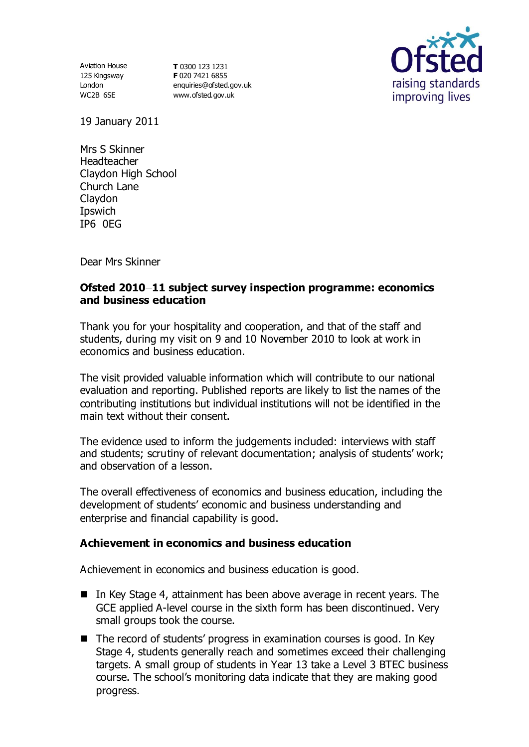125 Kingsway London WC2B 6SE

Aviation House **T** 0300 123 1231 **F** 020 7421 6855 [enquiries@ofsted.gov.uk](mailto:enquiries@ofsted.gov.uk) [www.ofsted.gov.uk](http://www.ofsted.gov.uk/)



19 January 2011

Mrs S Skinner Headteacher Claydon High School Church Lane Claydon **I**pswich IP6 0EG

Dear Mrs Skinner

## **Ofsted 2010 11 subject survey inspection programme: economics and business education**

Thank you for your hospitality and cooperation, and that of the staff and students, during my visit on 9 and 10 November 2010 to look at work in economics and business education.

The visit provided valuable information which will contribute to our national evaluation and reporting. Published reports are likely to list the names of the contributing institutions but individual institutions will not be identified in the main text without their consent.

The evidence used to inform the judgements included: interviews with staff and students; scrutiny of relevant documentation; analysis of students' work; and observation of a lesson.

The overall effectiveness of economics and business education, including the development of students' economic and business understanding and enterprise and financial capability is good.

### **Achievement in economics and business education**

Achievement in economics and business education is good.

- In Key Stage 4, attainment has been above average in recent years. The GCE applied A-level course in the sixth form has been discontinued. Very small groups took the course.
- $\blacksquare$  The record of students' progress in examination courses is good. In Key Stage 4, students generally reach and sometimes exceed their challenging targets. A small group of students in Year 13 take a Level 3 BTEC business course. The school's monitoring data indicate that they are making good progress.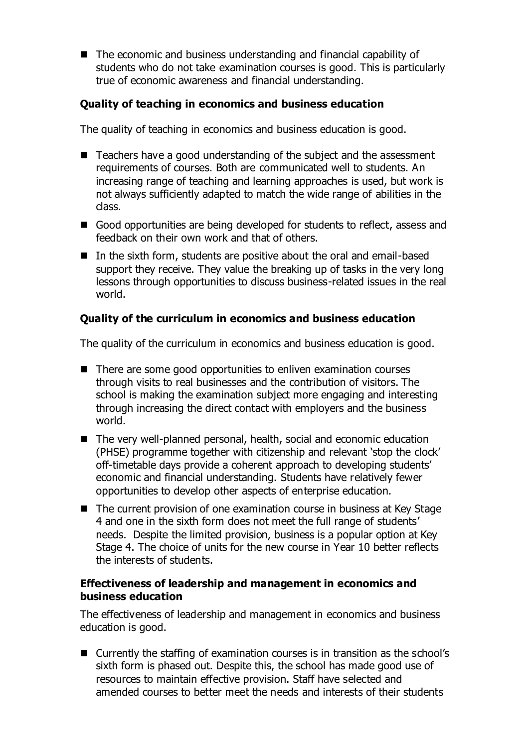The economic and business understanding and financial capability of students who do not take examination courses is good. This is particularly true of economic awareness and financial understanding.

# **Quality of teaching in economics and business education**

The quality of teaching in economics and business education is good.

- Teachers have a good understanding of the subject and the assessment requirements of courses. Both are communicated well to students. An increasing range of teaching and learning approaches is used, but work is not always sufficiently adapted to match the wide range of abilities in the class.
- Good opportunities are being developed for students to reflect, assess and feedback on their own work and that of others.
- In the sixth form, students are positive about the oral and email-based support they receive. They value the breaking up of tasks in the very long lessons through opportunities to discuss business-related issues in the real world.

## **Quality of the curriculum in economics and business education**

The quality of the curriculum in economics and business education is good.

- There are some good opportunities to enliven examination courses through visits to real businesses and the contribution of visitors. The school is making the examination subject more engaging and interesting through increasing the direct contact with employers and the business world.
- The very well-planned personal, health, social and economic education (PHSE) programme together with citizenship and relevant 'stop the clock' off-timetable days provide a coherent approach to developing students' economic and financial understanding. Students have relatively fewer opportunities to develop other aspects of enterprise education.
- The current provision of one examination course in business at Key Stage 4 and one in the sixth form does not meet the full range of students' needs. Despite the limited provision, business is a popular option at Key Stage 4. The choice of units for the new course in Year 10 better reflects the interests of students.

### **Effectiveness of leadership and management in economics and business education**

The effectiveness of leadership and management in economics and business education is good.

■ Currently the staffing of examination courses is in transition as the school's sixth form is phased out. Despite this, the school has made good use of resources to maintain effective provision. Staff have selected and amended courses to better meet the needs and interests of their students